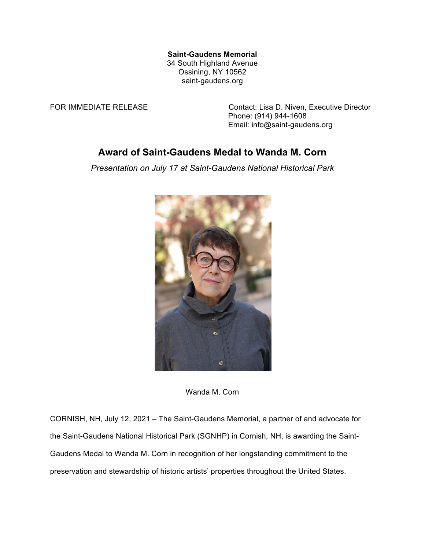## **Saint-Gaudens Memorial**

34 South Highland Avenue Ossining, NY 10562 saint-gaudens.org

FOR IMMEDIATE RELEASE Contact: Lisa D. Niven, Executive Director Phone: (914) 944-1608 Email: info@saint-gaudens.org

## **Award of Saint-Gaudens Medal to Wanda M. Corn**

*Presentation on July 17 at Saint-Gaudens National Historical Park*



Wanda M. Corn

CORNISH, NH, July 12, 2021 – The Saint-Gaudens Memorial, a partner of and advocate for the Saint-Gaudens National Historical Park (SGNHP) in Cornish, NH, is awarding the Saint-Gaudens Medal to Wanda M. Corn in recognition of her longstanding commitment to the preservation and stewardship of historic artists' properties throughout the United States.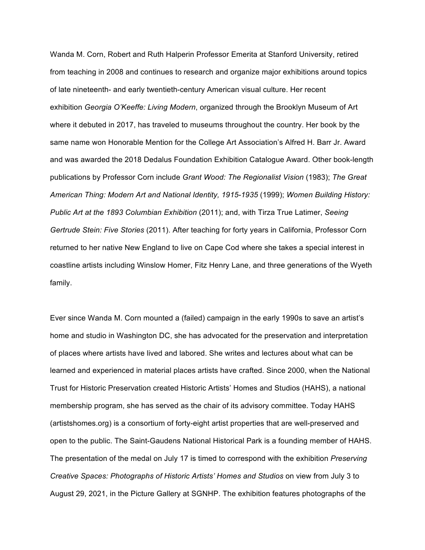Wanda M. Corn, Robert and Ruth Halperin Professor Emerita at Stanford University, retired from teaching in 2008 and continues to research and organize major exhibitions around topics of late nineteenth- and early twentieth-century American visual culture. Her recent exhibition *Georgia O'Keeffe: Living Modern*, organized through the Brooklyn Museum of Art where it debuted in 2017, has traveled to museums throughout the country. Her book by the same name won Honorable Mention for the College Art Association's Alfred H. Barr Jr. Award and was awarded the 2018 Dedalus Foundation Exhibition Catalogue Award. Other book-length publications by Professor Corn include *Grant Wood: The Regionalist Vision* (1983); *The Great American Thing: Modern Art and National Identity, 1915-1935* (1999); *Women Building History: Public Art at the 1893 Columbian Exhibition* (2011); and, with Tirza True Latimer, *Seeing Gertrude Stein: Five Stories* (2011). After teaching for forty years in California, Professor Corn returned to her native New England to live on Cape Cod where she takes a special interest in coastline artists including Winslow Homer, Fitz Henry Lane, and three generations of the Wyeth family.

Ever since Wanda M. Corn mounted a (failed) campaign in the early 1990s to save an artist's home and studio in Washington DC, she has advocated for the preservation and interpretation of places where artists have lived and labored. She writes and lectures about what can be learned and experienced in material places artists have crafted. Since 2000, when the National Trust for Historic Preservation created Historic Artists' Homes and Studios (HAHS), a national membership program, she has served as the chair of its advisory committee. Today HAHS (artistshomes.org) is a consortium of forty-eight artist properties that are well-preserved and open to the public. The Saint-Gaudens National Historical Park is a founding member of HAHS. The presentation of the medal on July 17 is timed to correspond with the exhibition *Preserving Creative Spaces: Photographs of Historic Artists' Homes and Studios* on view from July 3 to August 29, 2021, in the Picture Gallery at SGNHP. The exhibition features photographs of the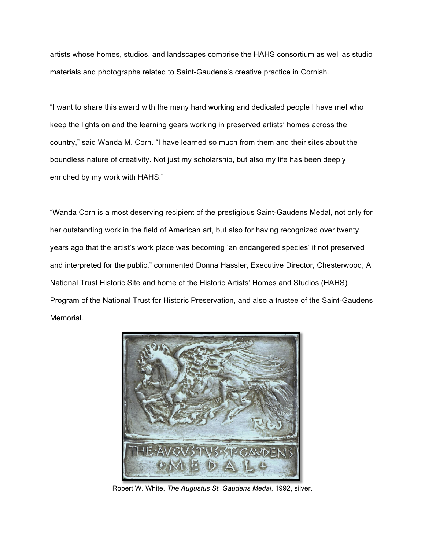artists whose homes, studios, and landscapes comprise the HAHS consortium as well as studio materials and photographs related to Saint-Gaudens's creative practice in Cornish.

"I want to share this award with the many hard working and dedicated people I have met who keep the lights on and the learning gears working in preserved artists' homes across the country," said Wanda M. Corn. "I have learned so much from them and their sites about the boundless nature of creativity. Not just my scholarship, but also my life has been deeply enriched by my work with HAHS."

"Wanda Corn is a most deserving recipient of the prestigious Saint-Gaudens Medal, not only for her outstanding work in the field of American art, but also for having recognized over twenty years ago that the artist's work place was becoming 'an endangered species' if not preserved and interpreted for the public," commented Donna Hassler, Executive Director, Chesterwood, A National Trust Historic Site and home of the Historic Artists' Homes and Studios (HAHS) Program of the National Trust for Historic Preservation, and also a trustee of the Saint-Gaudens Memorial.



Robert W. White, *The Augustus St. Gaudens Medal*, 1992, silver.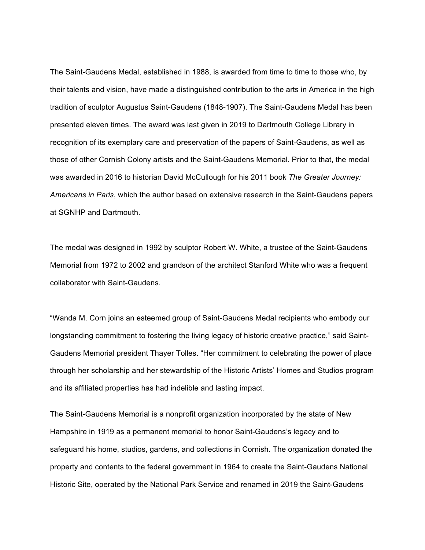The Saint-Gaudens Medal, established in 1988, is awarded from time to time to those who, by their talents and vision, have made a distinguished contribution to the arts in America in the high tradition of sculptor Augustus Saint-Gaudens (1848-1907). The Saint-Gaudens Medal has been presented eleven times. The award was last given in 2019 to Dartmouth College Library in recognition of its exemplary care and preservation of the papers of Saint-Gaudens, as well as those of other Cornish Colony artists and the Saint-Gaudens Memorial. Prior to that, the medal was awarded in 2016 to historian David McCullough for his 2011 book *The Greater Journey: Americans in Paris*, which the author based on extensive research in the Saint-Gaudens papers at SGNHP and Dartmouth.

The medal was designed in 1992 by sculptor Robert W. White, a trustee of the Saint-Gaudens Memorial from 1972 to 2002 and grandson of the architect Stanford White who was a frequent collaborator with Saint-Gaudens.

"Wanda M. Corn joins an esteemed group of Saint-Gaudens Medal recipients who embody our longstanding commitment to fostering the living legacy of historic creative practice," said Saint-Gaudens Memorial president Thayer Tolles. "Her commitment to celebrating the power of place through her scholarship and her stewardship of the Historic Artists' Homes and Studios program and its affiliated properties has had indelible and lasting impact.

The Saint-Gaudens Memorial is a nonprofit organization incorporated by the state of New Hampshire in 1919 as a permanent memorial to honor Saint-Gaudens's legacy and to safeguard his home, studios, gardens, and collections in Cornish. The organization donated the property and contents to the federal government in 1964 to create the Saint-Gaudens National Historic Site, operated by the National Park Service and renamed in 2019 the Saint-Gaudens